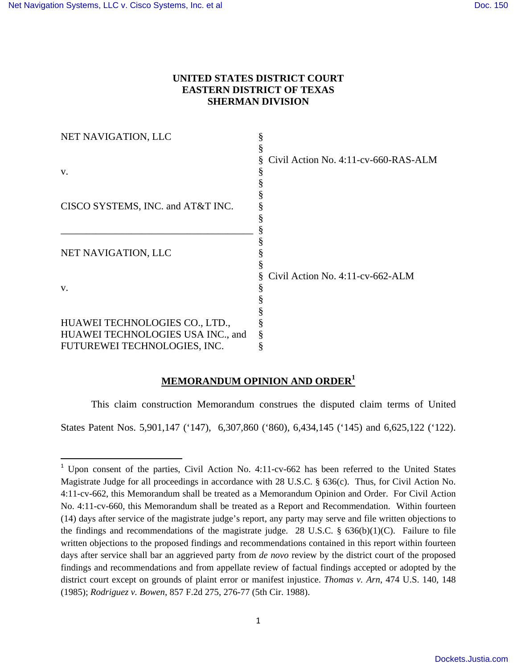# **UNITED STATES DISTRICT COURT EASTERN DISTRICT OF TEXAS SHERMAN DIVISION**

| NET NAVIGATION, LLC               |                                      |
|-----------------------------------|--------------------------------------|
|                                   |                                      |
|                                   | Civil Action No. 4:11-cv-660-RAS-ALM |
| V.                                |                                      |
|                                   |                                      |
|                                   |                                      |
| CISCO SYSTEMS, INC. and AT&T INC. |                                      |
|                                   |                                      |
|                                   |                                      |
|                                   |                                      |
| NET NAVIGATION, LLC               |                                      |
|                                   |                                      |
|                                   | Civil Action No. 4:11-cv-662-ALM     |
| V.                                |                                      |
|                                   |                                      |
|                                   |                                      |
| HUAWEI TECHNOLOGIES CO., LTD.,    |                                      |
| HUAWEI TECHNOLOGIES USA INC., and |                                      |
| FUTUREWEI TECHNOLOGIES, INC.      |                                      |

# **MEMORANDUM OPINION AND ORDER<sup>1</sup>**

This claim construction Memorandum construes the disputed claim terms of United States Patent Nos. 5,901,147 ('147), 6,307,860 ('860), 6,434,145 ('145) and 6,625,122 ('122).

<sup>&</sup>lt;sup>1</sup> Upon consent of the parties, Civil Action No. 4:11-cv-662 has been referred to the United States Magistrate Judge for all proceedings in accordance with 28 U.S.C. § 636(c). Thus, for Civil Action No. 4:11-cv-662, this Memorandum shall be treated as a Memorandum Opinion and Order. For Civil Action No. 4:11-cv-660, this Memorandum shall be treated as a Report and Recommendation. Within fourteen (14) days after service of the magistrate judge's report, any party may serve and file written objections to the findings and recommendations of the magistrate judge. 28 U.S.C. §  $636(b)(1)(C)$ . Failure to file written objections to the proposed findings and recommendations contained in this report within fourteen days after service shall bar an aggrieved party from *de novo* review by the district court of the proposed findings and recommendations and from appellate review of factual findings accepted or adopted by the district court except on grounds of plaint error or manifest injustice. *Thomas v. Arn*, 474 U.S. 140, 148 (1985); *Rodriguez v. Bowen*, 857 F.2d 275, 276-77 (5th Cir. 1988).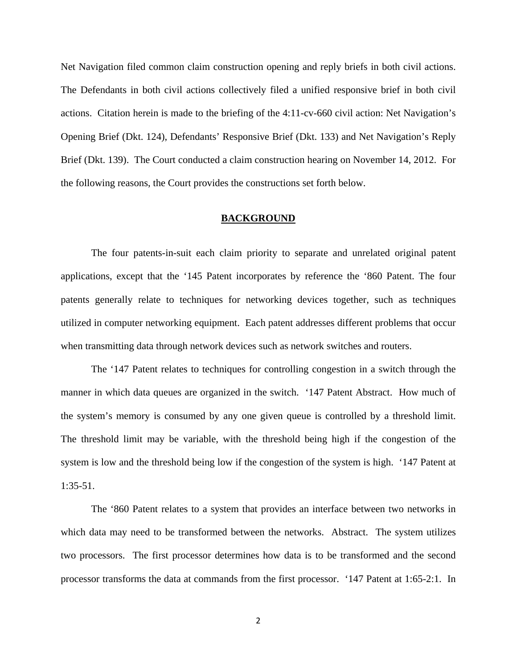Net Navigation filed common claim construction opening and reply briefs in both civil actions. The Defendants in both civil actions collectively filed a unified responsive brief in both civil actions. Citation herein is made to the briefing of the 4:11-cv-660 civil action: Net Navigation's Opening Brief (Dkt. 124), Defendants' Responsive Brief (Dkt. 133) and Net Navigation's Reply Brief (Dkt. 139). The Court conducted a claim construction hearing on November 14, 2012. For the following reasons, the Court provides the constructions set forth below.

# **BACKGROUND**

 The four patents-in-suit each claim priority to separate and unrelated original patent applications, except that the '145 Patent incorporates by reference the '860 Patent. The four patents generally relate to techniques for networking devices together, such as techniques utilized in computer networking equipment. Each patent addresses different problems that occur when transmitting data through network devices such as network switches and routers.

The '147 Patent relates to techniques for controlling congestion in a switch through the manner in which data queues are organized in the switch. '147 Patent Abstract. How much of the system's memory is consumed by any one given queue is controlled by a threshold limit. The threshold limit may be variable, with the threshold being high if the congestion of the system is low and the threshold being low if the congestion of the system is high. '147 Patent at 1:35-51.

The '860 Patent relates to a system that provides an interface between two networks in which data may need to be transformed between the networks. Abstract. The system utilizes two processors. The first processor determines how data is to be transformed and the second processor transforms the data at commands from the first processor. '147 Patent at 1:65-2:1. In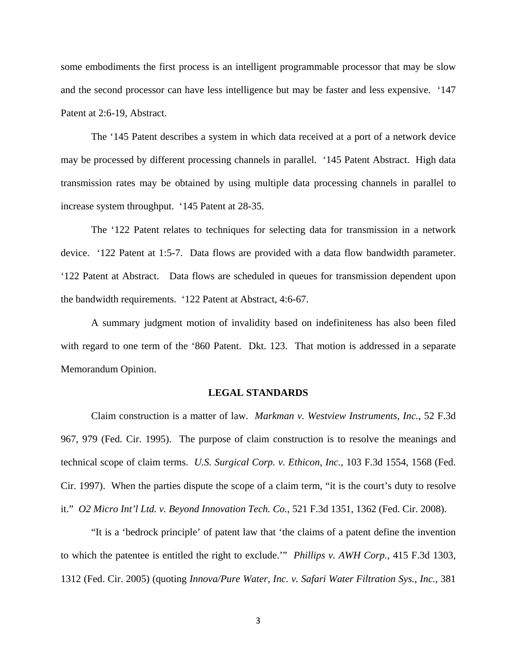some embodiments the first process is an intelligent programmable processor that may be slow and the second processor can have less intelligence but may be faster and less expensive. '147 Patent at 2:6-19, Abstract.

The '145 Patent describes a system in which data received at a port of a network device may be processed by different processing channels in parallel. '145 Patent Abstract. High data transmission rates may be obtained by using multiple data processing channels in parallel to increase system throughput. '145 Patent at 28-35.

The '122 Patent relates to techniques for selecting data for transmission in a network device. '122 Patent at 1:5-7. Data flows are provided with a data flow bandwidth parameter. '122 Patent at Abstract. Data flows are scheduled in queues for transmission dependent upon the bandwidth requirements. '122 Patent at Abstract, 4:6-67.

A summary judgment motion of invalidity based on indefiniteness has also been filed with regard to one term of the '860 Patent. Dkt. 123. That motion is addressed in a separate Memorandum Opinion.

## **LEGAL STANDARDS**

Claim construction is a matter of law. *Markman v. Westview Instruments, Inc.*, 52 F.3d 967, 979 (Fed. Cir. 1995). The purpose of claim construction is to resolve the meanings and technical scope of claim terms. *U.S. Surgical Corp. v. Ethicon, Inc.*, 103 F.3d 1554, 1568 (Fed. Cir. 1997). When the parties dispute the scope of a claim term, "it is the court's duty to resolve it." *O2 Micro Int'l Ltd. v. Beyond Innovation Tech. Co.*, 521 F.3d 1351, 1362 (Fed. Cir. 2008).

"It is a 'bedrock principle' of patent law that 'the claims of a patent define the invention to which the patentee is entitled the right to exclude.'" *Phillips v. AWH Corp.*, 415 F.3d 1303, 1312 (Fed. Cir. 2005) (quoting *Innova/Pure Water, Inc. v. Safari Water Filtration Sys., Inc.*, 381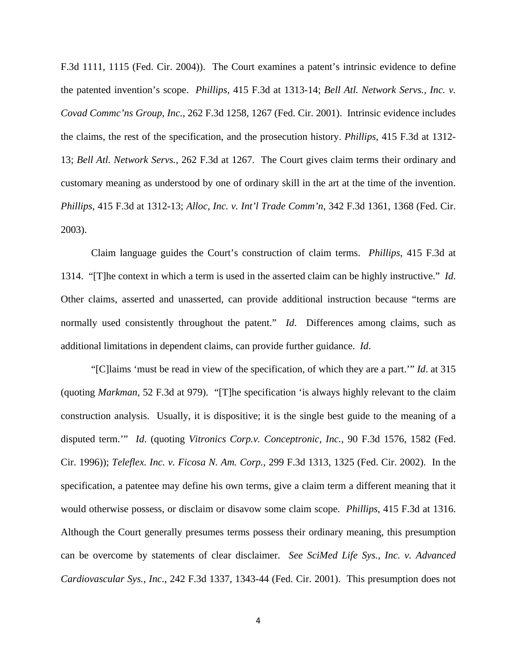F.3d 1111, 1115 (Fed. Cir. 2004)). The Court examines a patent's intrinsic evidence to define the patented invention's scope. *Phillips,* 415 F.3d at 1313-14; *Bell Atl. Network Servs., Inc. v. Covad Commc'ns Group, Inc.*, 262 F.3d 1258, 1267 (Fed. Cir. 2001). Intrinsic evidence includes the claims, the rest of the specification, and the prosecution history. *Phillips*, 415 F.3d at 1312- 13; *Bell Atl. Network Servs.*, 262 F.3d at 1267. The Court gives claim terms their ordinary and customary meaning as understood by one of ordinary skill in the art at the time of the invention. *Phillips*, 415 F.3d at 1312-13; *Alloc, Inc. v. Int'l Trade Comm'n*, 342 F.3d 1361, 1368 (Fed. Cir. 2003).

Claim language guides the Court's construction of claim terms. *Phillips*, 415 F.3d at 1314. "[T]he context in which a term is used in the asserted claim can be highly instructive." *Id*. Other claims, asserted and unasserted, can provide additional instruction because "terms are normally used consistently throughout the patent." *Id*. Differences among claims, such as additional limitations in dependent claims, can provide further guidance. *Id*.

"[C]laims 'must be read in view of the specification, of which they are a part.'" *Id*. at 315 (quoting *Markman*, 52 F.3d at 979). "[T]he specification 'is always highly relevant to the claim construction analysis. Usually, it is dispositive; it is the single best guide to the meaning of a disputed term.'" *Id*. (quoting *Vitronics Corp.v. Conceptronic, Inc.*, 90 F.3d 1576, 1582 (Fed. Cir. 1996)); *Teleflex. Inc. v. Ficosa N. Am. Corp.*, 299 F.3d 1313, 1325 (Fed. Cir. 2002). In the specification, a patentee may define his own terms, give a claim term a different meaning that it would otherwise possess, or disclaim or disavow some claim scope. *Phillips*, 415 F.3d at 1316. Although the Court generally presumes terms possess their ordinary meaning, this presumption can be overcome by statements of clear disclaimer. *See SciMed Life Sys., Inc. v. Advanced Cardiovascular Sys.*, *Inc*., 242 F.3d 1337, 1343-44 (Fed. Cir. 2001). This presumption does not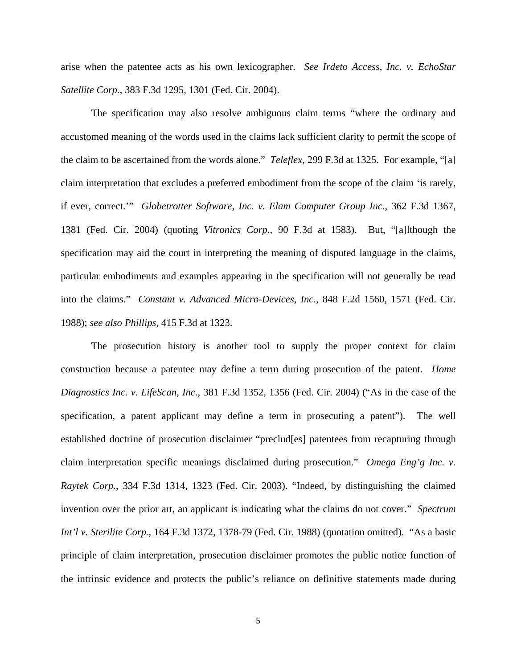arise when the patentee acts as his own lexicographer. *See Irdeto Access, Inc. v. EchoStar Satellite Corp.*, 383 F.3d 1295, 1301 (Fed. Cir. 2004).

The specification may also resolve ambiguous claim terms "where the ordinary and accustomed meaning of the words used in the claims lack sufficient clarity to permit the scope of the claim to be ascertained from the words alone." *Teleflex*, 299 F.3d at 1325. For example, "[a] claim interpretation that excludes a preferred embodiment from the scope of the claim 'is rarely, if ever, correct.'" *Globetrotter Software, Inc. v. Elam Computer Group Inc.*, 362 F.3d 1367, 1381 (Fed. Cir. 2004) (quoting *Vitronics Corp.*, 90 F.3d at 1583). But, "[a]lthough the specification may aid the court in interpreting the meaning of disputed language in the claims, particular embodiments and examples appearing in the specification will not generally be read into the claims." *Constant v. Advanced Micro-Devices, Inc.*, 848 F.2d 1560, 1571 (Fed. Cir. 1988); *see also Phillips*, 415 F.3d at 1323.

The prosecution history is another tool to supply the proper context for claim construction because a patentee may define a term during prosecution of the patent. *Home Diagnostics Inc. v. LifeScan, Inc.*, 381 F.3d 1352, 1356 (Fed. Cir. 2004) ("As in the case of the specification, a patent applicant may define a term in prosecuting a patent"). The well established doctrine of prosecution disclaimer "preclud[es] patentees from recapturing through claim interpretation specific meanings disclaimed during prosecution." *Omega Eng'g Inc. v. Raytek Corp.*, 334 F.3d 1314, 1323 (Fed. Cir. 2003). "Indeed, by distinguishing the claimed invention over the prior art, an applicant is indicating what the claims do not cover." *Spectrum Int'l v. Sterilite Corp.*, 164 F.3d 1372, 1378-79 (Fed. Cir. 1988) (quotation omitted). "As a basic principle of claim interpretation, prosecution disclaimer promotes the public notice function of the intrinsic evidence and protects the public's reliance on definitive statements made during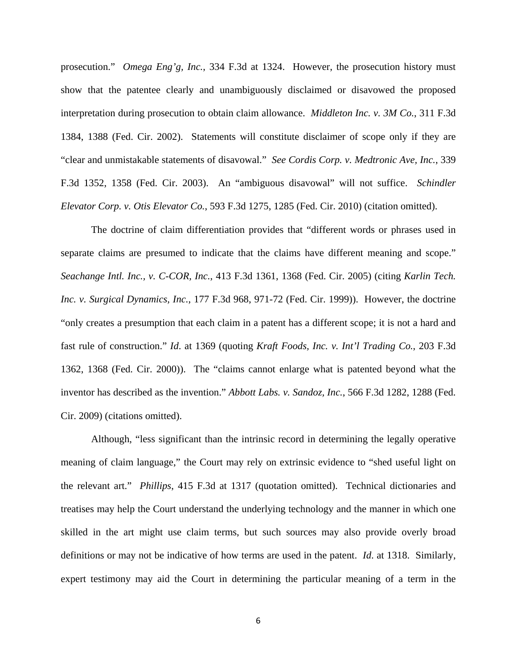prosecution." *Omega Eng'g, Inc.*, 334 F.3d at 1324. However, the prosecution history must show that the patentee clearly and unambiguously disclaimed or disavowed the proposed interpretation during prosecution to obtain claim allowance. *Middleton Inc. v. 3M Co.*, 311 F.3d 1384, 1388 (Fed. Cir. 2002). Statements will constitute disclaimer of scope only if they are "clear and unmistakable statements of disavowal." *See Cordis Corp. v. Medtronic Ave, Inc.*, 339 F.3d 1352, 1358 (Fed. Cir. 2003). An "ambiguous disavowal" will not suffice. *Schindler Elevator Corp. v. Otis Elevator Co.*, 593 F.3d 1275, 1285 (Fed. Cir. 2010) (citation omitted).

The doctrine of claim differentiation provides that "different words or phrases used in separate claims are presumed to indicate that the claims have different meaning and scope." *Seachange Intl. Inc., v. C-COR, Inc.*, 413 F.3d 1361, 1368 (Fed. Cir. 2005) (citing *Karlin Tech. Inc. v. Surgical Dynamics, Inc.*, 177 F.3d 968, 971-72 (Fed. Cir. 1999)). However, the doctrine "only creates a presumption that each claim in a patent has a different scope; it is not a hard and fast rule of construction." *Id*. at 1369 (quoting *Kraft Foods, Inc. v. Int'l Trading Co.*, 203 F.3d 1362, 1368 (Fed. Cir. 2000)). The "claims cannot enlarge what is patented beyond what the inventor has described as the invention." *Abbott Labs. v. Sandoz, Inc.*, 566 F.3d 1282, 1288 (Fed. Cir. 2009) (citations omitted).

Although, "less significant than the intrinsic record in determining the legally operative meaning of claim language," the Court may rely on extrinsic evidence to "shed useful light on the relevant art." *Phillips*, 415 F.3d at 1317 (quotation omitted). Technical dictionaries and treatises may help the Court understand the underlying technology and the manner in which one skilled in the art might use claim terms, but such sources may also provide overly broad definitions or may not be indicative of how terms are used in the patent. *Id*. at 1318. Similarly, expert testimony may aid the Court in determining the particular meaning of a term in the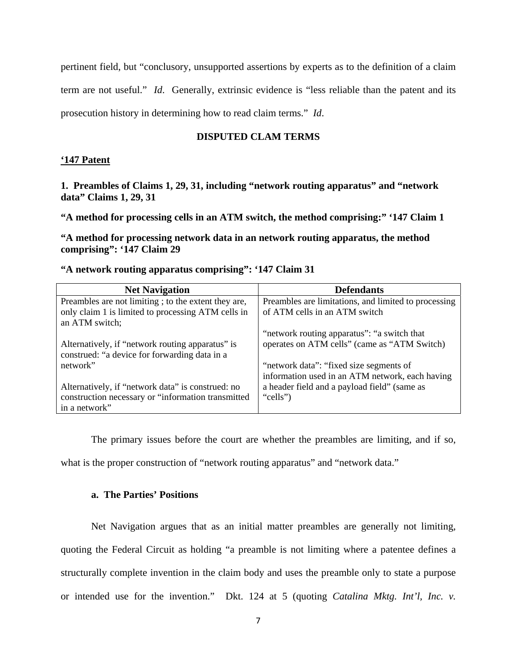pertinent field, but "conclusory, unsupported assertions by experts as to the definition of a claim term are not useful." *Id*. Generally, extrinsic evidence is "less reliable than the patent and its prosecution history in determining how to read claim terms." *Id*.

# **DISPUTED CLAM TERMS**

# **'147 Patent**

**1. Preambles of Claims 1, 29, 31, including "network routing apparatus" and "network data" Claims 1, 29, 31** 

**"A method for processing cells in an ATM switch, the method comprising:" '147 Claim 1** 

**"A method for processing network data in an network routing apparatus, the method comprising": '147 Claim 29** 

| <b>Net Navigation</b>                               | <b>Defendants</b>                                    |
|-----------------------------------------------------|------------------------------------------------------|
| Preambles are not limiting; to the extent they are, | Preambles are limitations, and limited to processing |
| only claim 1 is limited to processing ATM cells in  | of ATM cells in an ATM switch                        |
| an ATM switch;                                      |                                                      |
|                                                     | "network routing apparatus": "a switch that          |
| Alternatively, if "network routing apparatus" is    | operates on ATM cells" (came as "ATM Switch)         |
| construed: "a device for forwarding data in a       |                                                      |
| network"                                            | "network data": "fixed size segments of              |
|                                                     | information used in an ATM network, each having      |
| Alternatively, if "network data" is construed: no   | a header field and a payload field" (same as         |
| construction necessary or "information transmitted  | "cells")                                             |
| in a network"                                       |                                                      |

**"A network routing apparatus comprising": '147 Claim 31** 

The primary issues before the court are whether the preambles are limiting, and if so,

what is the proper construction of "network routing apparatus" and "network data."

### **a. The Parties' Positions**

Net Navigation argues that as an initial matter preambles are generally not limiting, quoting the Federal Circuit as holding "a preamble is not limiting where a patentee defines a structurally complete invention in the claim body and uses the preamble only to state a purpose or intended use for the invention." Dkt. 124 at 5 (quoting *Catalina Mktg. Int'l, Inc. v.*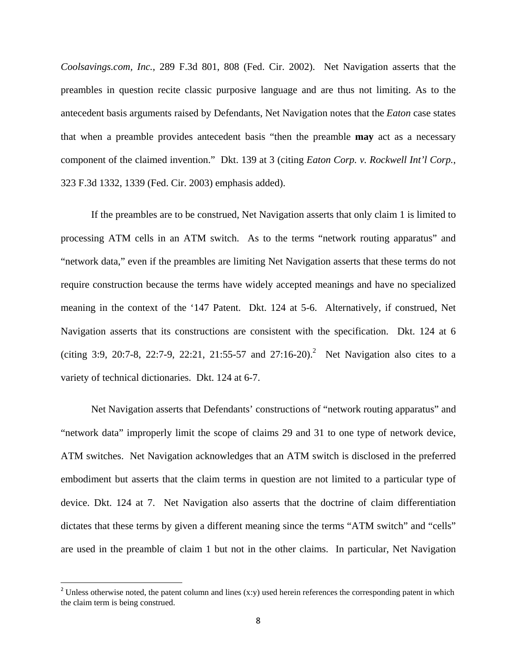*Coolsavings.com, Inc.*, 289 F.3d 801, 808 (Fed. Cir. 2002). Net Navigation asserts that the preambles in question recite classic purposive language and are thus not limiting. As to the antecedent basis arguments raised by Defendants, Net Navigation notes that the *Eaton* case states that when a preamble provides antecedent basis "then the preamble **may** act as a necessary component of the claimed invention." Dkt. 139 at 3 (citing *Eaton Corp. v. Rockwell Int'l Corp.*, 323 F.3d 1332, 1339 (Fed. Cir. 2003) emphasis added).

 If the preambles are to be construed, Net Navigation asserts that only claim 1 is limited to processing ATM cells in an ATM switch. As to the terms "network routing apparatus" and "network data," even if the preambles are limiting Net Navigation asserts that these terms do not require construction because the terms have widely accepted meanings and have no specialized meaning in the context of the '147 Patent. Dkt. 124 at 5-6. Alternatively, if construed, Net Navigation asserts that its constructions are consistent with the specification. Dkt. 124 at 6 (citing 3:9, 20:7-8, 22:7-9, 22:21, 21:55-57 and 27:16-20).<sup>2</sup> Net Navigation also cites to a variety of technical dictionaries. Dkt. 124 at 6-7.

 Net Navigation asserts that Defendants' constructions of "network routing apparatus" and "network data" improperly limit the scope of claims 29 and 31 to one type of network device, ATM switches. Net Navigation acknowledges that an ATM switch is disclosed in the preferred embodiment but asserts that the claim terms in question are not limited to a particular type of device. Dkt. 124 at 7. Net Navigation also asserts that the doctrine of claim differentiation dictates that these terms by given a different meaning since the terms "ATM switch" and "cells" are used in the preamble of claim 1 but not in the other claims. In particular, Net Navigation

<sup>&</sup>lt;sup>2</sup> Unless otherwise noted, the patent column and lines (x:y) used herein references the corresponding patent in which the claim term is being construed.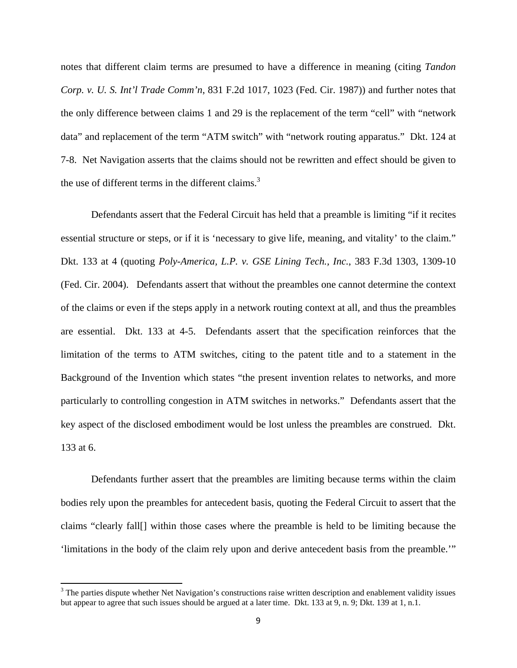notes that different claim terms are presumed to have a difference in meaning (citing *Tandon Corp. v. U. S. Int'l Trade Comm'n*, 831 F.2d 1017, 1023 (Fed. Cir. 1987)) and further notes that the only difference between claims 1 and 29 is the replacement of the term "cell" with "network data" and replacement of the term "ATM switch" with "network routing apparatus." Dkt. 124 at 7-8. Net Navigation asserts that the claims should not be rewritten and effect should be given to the use of different terms in the different claims.<sup>3</sup>

Defendants assert that the Federal Circuit has held that a preamble is limiting "if it recites essential structure or steps, or if it is 'necessary to give life, meaning, and vitality' to the claim." Dkt. 133 at 4 (quoting *Poly-America, L.P. v. GSE Lining Tech., Inc.*, 383 F.3d 1303, 1309-10 (Fed. Cir. 2004). Defendants assert that without the preambles one cannot determine the context of the claims or even if the steps apply in a network routing context at all, and thus the preambles are essential. Dkt. 133 at 4-5. Defendants assert that the specification reinforces that the limitation of the terms to ATM switches, citing to the patent title and to a statement in the Background of the Invention which states "the present invention relates to networks, and more particularly to controlling congestion in ATM switches in networks." Defendants assert that the key aspect of the disclosed embodiment would be lost unless the preambles are construed. Dkt. 133 at 6.

Defendants further assert that the preambles are limiting because terms within the claim bodies rely upon the preambles for antecedent basis, quoting the Federal Circuit to assert that the claims "clearly fall[] within those cases where the preamble is held to be limiting because the 'limitations in the body of the claim rely upon and derive antecedent basis from the preamble.'"

 $3$  The parties dispute whether Net Navigation's constructions raise written description and enablement validity issues but appear to agree that such issues should be argued at a later time. Dkt. 133 at 9, n. 9; Dkt. 139 at 1, n.1.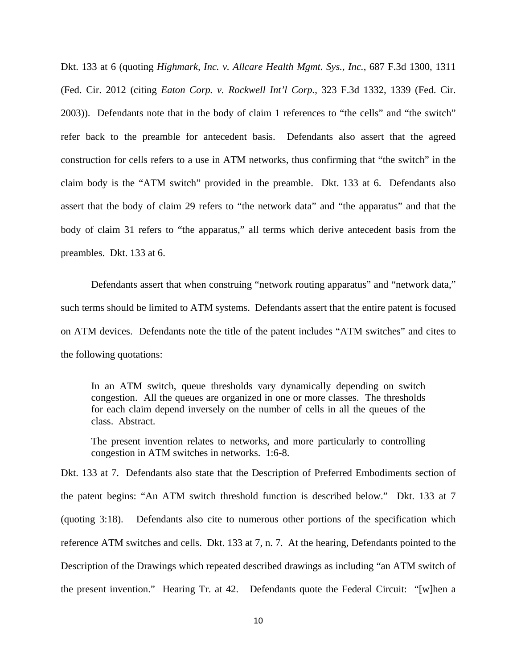Dkt. 133 at 6 (quoting *Highmark, Inc. v. Allcare Health Mgmt. Sys., Inc.*, 687 F.3d 1300, 1311 (Fed. Cir. 2012 (citing *Eaton Corp. v. Rockwell Int'l Corp.*, 323 F.3d 1332, 1339 (Fed. Cir. 2003)). Defendants note that in the body of claim 1 references to "the cells" and "the switch" refer back to the preamble for antecedent basis. Defendants also assert that the agreed construction for cells refers to a use in ATM networks, thus confirming that "the switch" in the claim body is the "ATM switch" provided in the preamble. Dkt. 133 at 6. Defendants also assert that the body of claim 29 refers to "the network data" and "the apparatus" and that the body of claim 31 refers to "the apparatus," all terms which derive antecedent basis from the preambles. Dkt. 133 at 6.

Defendants assert that when construing "network routing apparatus" and "network data," such terms should be limited to ATM systems. Defendants assert that the entire patent is focused on ATM devices. Defendants note the title of the patent includes "ATM switches" and cites to the following quotations:

In an ATM switch, queue thresholds vary dynamically depending on switch congestion. All the queues are organized in one or more classes. The thresholds for each claim depend inversely on the number of cells in all the queues of the class. Abstract.

The present invention relates to networks, and more particularly to controlling congestion in ATM switches in networks. 1:6-8.

Dkt. 133 at 7. Defendants also state that the Description of Preferred Embodiments section of the patent begins: "An ATM switch threshold function is described below." Dkt. 133 at 7 (quoting 3:18). Defendants also cite to numerous other portions of the specification which reference ATM switches and cells. Dkt. 133 at 7, n. 7. At the hearing, Defendants pointed to the Description of the Drawings which repeated described drawings as including "an ATM switch of the present invention." Hearing Tr. at 42. Defendants quote the Federal Circuit: "[w]hen a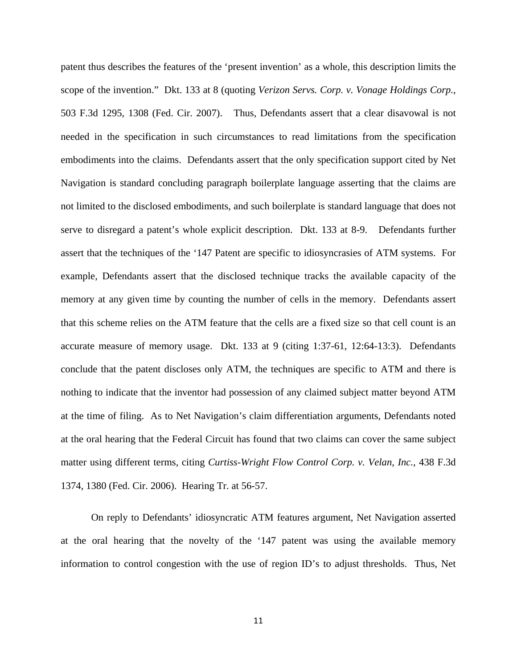patent thus describes the features of the 'present invention' as a whole, this description limits the scope of the invention." Dkt. 133 at 8 (quoting *Verizon Servs. Corp. v. Vonage Holdings Corp.*, 503 F.3d 1295, 1308 (Fed. Cir. 2007). Thus, Defendants assert that a clear disavowal is not needed in the specification in such circumstances to read limitations from the specification embodiments into the claims. Defendants assert that the only specification support cited by Net Navigation is standard concluding paragraph boilerplate language asserting that the claims are not limited to the disclosed embodiments, and such boilerplate is standard language that does not serve to disregard a patent's whole explicit description. Dkt. 133 at 8-9. Defendants further assert that the techniques of the '147 Patent are specific to idiosyncrasies of ATM systems. For example, Defendants assert that the disclosed technique tracks the available capacity of the memory at any given time by counting the number of cells in the memory. Defendants assert that this scheme relies on the ATM feature that the cells are a fixed size so that cell count is an accurate measure of memory usage. Dkt. 133 at 9 (citing 1:37-61, 12:64-13:3). Defendants conclude that the patent discloses only ATM, the techniques are specific to ATM and there is nothing to indicate that the inventor had possession of any claimed subject matter beyond ATM at the time of filing. As to Net Navigation's claim differentiation arguments, Defendants noted at the oral hearing that the Federal Circuit has found that two claims can cover the same subject matter using different terms, citing *Curtiss-Wright Flow Control Corp. v. Velan, Inc.*, 438 F.3d 1374, 1380 (Fed. Cir. 2006). Hearing Tr. at 56-57.

 On reply to Defendants' idiosyncratic ATM features argument, Net Navigation asserted at the oral hearing that the novelty of the '147 patent was using the available memory information to control congestion with the use of region ID's to adjust thresholds. Thus, Net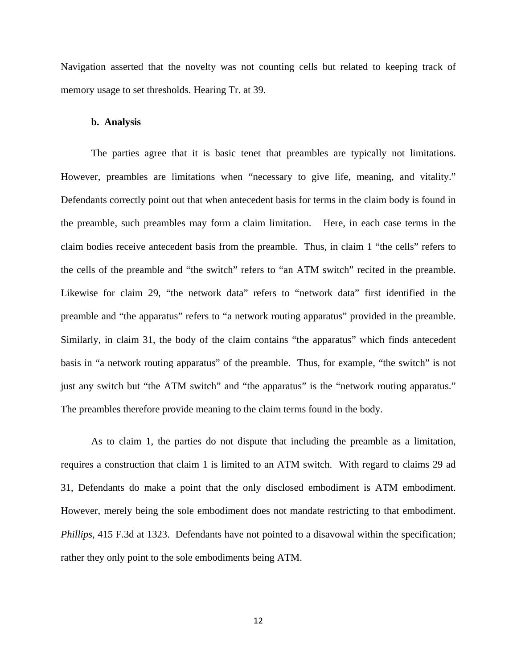Navigation asserted that the novelty was not counting cells but related to keeping track of memory usage to set thresholds. Hearing Tr. at 39.

#### **b. Analysis**

The parties agree that it is basic tenet that preambles are typically not limitations. However, preambles are limitations when "necessary to give life, meaning, and vitality." Defendants correctly point out that when antecedent basis for terms in the claim body is found in the preamble, such preambles may form a claim limitation. Here, in each case terms in the claim bodies receive antecedent basis from the preamble. Thus, in claim 1 "the cells" refers to the cells of the preamble and "the switch" refers to "an ATM switch" recited in the preamble. Likewise for claim 29, "the network data" refers to "network data" first identified in the preamble and "the apparatus" refers to "a network routing apparatus" provided in the preamble. Similarly, in claim 31, the body of the claim contains "the apparatus" which finds antecedent basis in "a network routing apparatus" of the preamble. Thus, for example, "the switch" is not just any switch but "the ATM switch" and "the apparatus" is the "network routing apparatus." The preambles therefore provide meaning to the claim terms found in the body.

As to claim 1, the parties do not dispute that including the preamble as a limitation, requires a construction that claim 1 is limited to an ATM switch. With regard to claims 29 ad 31, Defendants do make a point that the only disclosed embodiment is ATM embodiment. However, merely being the sole embodiment does not mandate restricting to that embodiment. *Phillips*, 415 F.3d at 1323. Defendants have not pointed to a disavowal within the specification; rather they only point to the sole embodiments being ATM.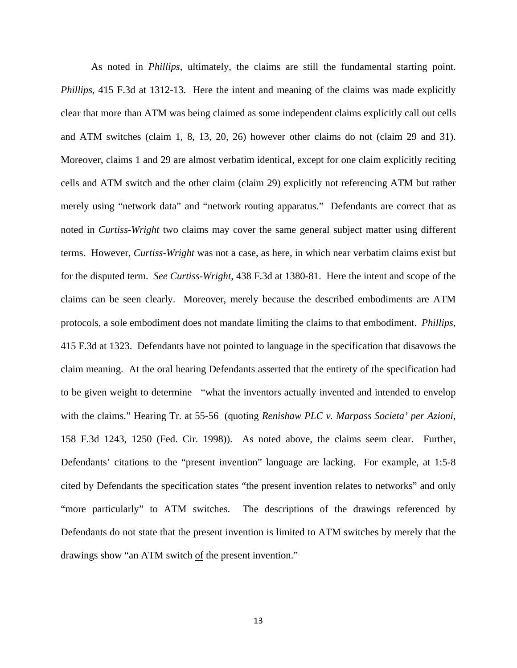As noted in *Phillips*, ultimately, the claims are still the fundamental starting point. *Phillips*, 415 F.3d at 1312-13. Here the intent and meaning of the claims was made explicitly clear that more than ATM was being claimed as some independent claims explicitly call out cells and ATM switches (claim 1, 8, 13, 20, 26) however other claims do not (claim 29 and 31). Moreover, claims 1 and 29 are almost verbatim identical, except for one claim explicitly reciting cells and ATM switch and the other claim (claim 29) explicitly not referencing ATM but rather merely using "network data" and "network routing apparatus." Defendants are correct that as noted in *Curtiss-Wright* two claims may cover the same general subject matter using different terms. However, *Curtiss-Wright* was not a case, as here, in which near verbatim claims exist but for the disputed term. *See Curtiss-Wright*, 438 F.3d at 1380-81. Here the intent and scope of the claims can be seen clearly. Moreover, merely because the described embodiments are ATM protocols, a sole embodiment does not mandate limiting the claims to that embodiment. *Phillips,*  415 F.3d at 1323. Defendants have not pointed to language in the specification that disavows the claim meaning. At the oral hearing Defendants asserted that the entirety of the specification had to be given weight to determine "what the inventors actually invented and intended to envelop with the claims." Hearing Tr. at 55-56 (quoting *Renishaw PLC v. Marpass Societa' per Azioni,*  158 F.3d 1243, 1250 (Fed. Cir. 1998)). As noted above, the claims seem clear. Further, Defendants' citations to the "present invention" language are lacking. For example, at 1:5-8 cited by Defendants the specification states "the present invention relates to networks" and only "more particularly" to ATM switches. The descriptions of the drawings referenced by Defendants do not state that the present invention is limited to ATM switches by merely that the drawings show "an ATM switch of the present invention."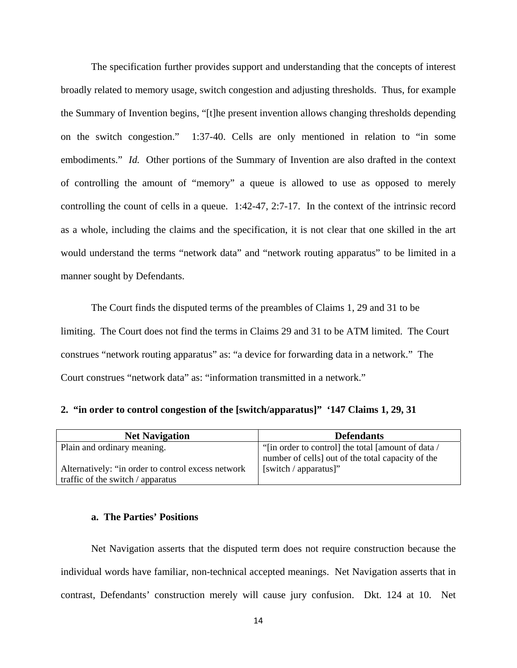The specification further provides support and understanding that the concepts of interest broadly related to memory usage, switch congestion and adjusting thresholds. Thus, for example the Summary of Invention begins, "[t]he present invention allows changing thresholds depending on the switch congestion." 1:37-40. Cells are only mentioned in relation to "in some embodiments." *Id.* Other portions of the Summary of Invention are also drafted in the context of controlling the amount of "memory" a queue is allowed to use as opposed to merely controlling the count of cells in a queue. 1:42-47, 2:7-17. In the context of the intrinsic record as a whole, including the claims and the specification, it is not clear that one skilled in the art would understand the terms "network data" and "network routing apparatus" to be limited in a manner sought by Defendants.

The Court finds the disputed terms of the preambles of Claims 1, 29 and 31 to be limiting. The Court does not find the terms in Claims 29 and 31 to be ATM limited. The Court construes "network routing apparatus" as: "a device for forwarding data in a network." The Court construes "network data" as: "information transmitted in a network."

**2. "in order to control congestion of the [switch/apparatus]" '147 Claims 1, 29, 31** 

| <b>Net Navigation</b>                              | <b>Defendants</b>                                  |
|----------------------------------------------------|----------------------------------------------------|
| Plain and ordinary meaning.                        | "[in order to control] the total [amount of data / |
|                                                    | number of cells] out of the total capacity of the  |
| Alternatively: "in order to control excess network | [switch $/$ apparatus]"                            |
| traffic of the switch / apparatus                  |                                                    |

#### **a. The Parties' Positions**

Net Navigation asserts that the disputed term does not require construction because the individual words have familiar, non-technical accepted meanings. Net Navigation asserts that in contrast, Defendants' construction merely will cause jury confusion. Dkt. 124 at 10. Net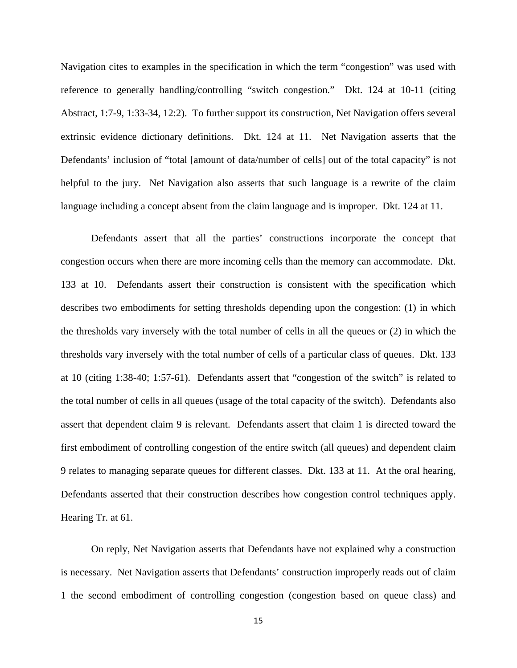Navigation cites to examples in the specification in which the term "congestion" was used with reference to generally handling/controlling "switch congestion." Dkt. 124 at 10-11 (citing Abstract, 1:7-9, 1:33-34, 12:2). To further support its construction, Net Navigation offers several extrinsic evidence dictionary definitions. Dkt. 124 at 11. Net Navigation asserts that the Defendants' inclusion of "total [amount of data/number of cells] out of the total capacity" is not helpful to the jury. Net Navigation also asserts that such language is a rewrite of the claim language including a concept absent from the claim language and is improper. Dkt. 124 at 11.

 Defendants assert that all the parties' constructions incorporate the concept that congestion occurs when there are more incoming cells than the memory can accommodate. Dkt. 133 at 10. Defendants assert their construction is consistent with the specification which describes two embodiments for setting thresholds depending upon the congestion: (1) in which the thresholds vary inversely with the total number of cells in all the queues or (2) in which the thresholds vary inversely with the total number of cells of a particular class of queues. Dkt. 133 at 10 (citing 1:38-40; 1:57-61). Defendants assert that "congestion of the switch" is related to the total number of cells in all queues (usage of the total capacity of the switch). Defendants also assert that dependent claim 9 is relevant. Defendants assert that claim 1 is directed toward the first embodiment of controlling congestion of the entire switch (all queues) and dependent claim 9 relates to managing separate queues for different classes. Dkt. 133 at 11. At the oral hearing, Defendants asserted that their construction describes how congestion control techniques apply. Hearing Tr. at 61.

 On reply, Net Navigation asserts that Defendants have not explained why a construction is necessary. Net Navigation asserts that Defendants' construction improperly reads out of claim 1 the second embodiment of controlling congestion (congestion based on queue class) and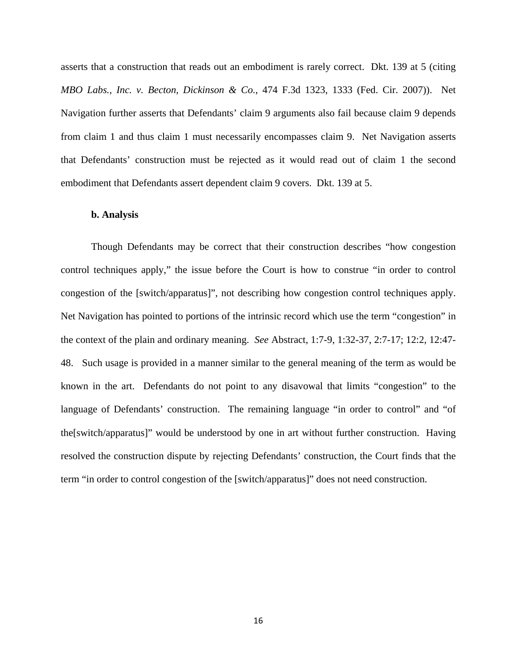asserts that a construction that reads out an embodiment is rarely correct. Dkt. 139 at 5 (citing *MBO Labs., Inc. v. Becton, Dickinson & Co.*, 474 F.3d 1323, 1333 (Fed. Cir. 2007)). Net Navigation further asserts that Defendants' claim 9 arguments also fail because claim 9 depends from claim 1 and thus claim 1 must necessarily encompasses claim 9. Net Navigation asserts that Defendants' construction must be rejected as it would read out of claim 1 the second embodiment that Defendants assert dependent claim 9 covers. Dkt. 139 at 5.

### **b. Analysis**

Though Defendants may be correct that their construction describes "how congestion control techniques apply," the issue before the Court is how to construe "in order to control congestion of the [switch/apparatus]", not describing how congestion control techniques apply. Net Navigation has pointed to portions of the intrinsic record which use the term "congestion" in the context of the plain and ordinary meaning. *See* Abstract, 1:7-9, 1:32-37, 2:7-17; 12:2, 12:47- 48. Such usage is provided in a manner similar to the general meaning of the term as would be known in the art. Defendants do not point to any disavowal that limits "congestion" to the language of Defendants' construction. The remaining language "in order to control" and "of the[switch/apparatus]" would be understood by one in art without further construction. Having resolved the construction dispute by rejecting Defendants' construction, the Court finds that the term "in order to control congestion of the [switch/apparatus]" does not need construction.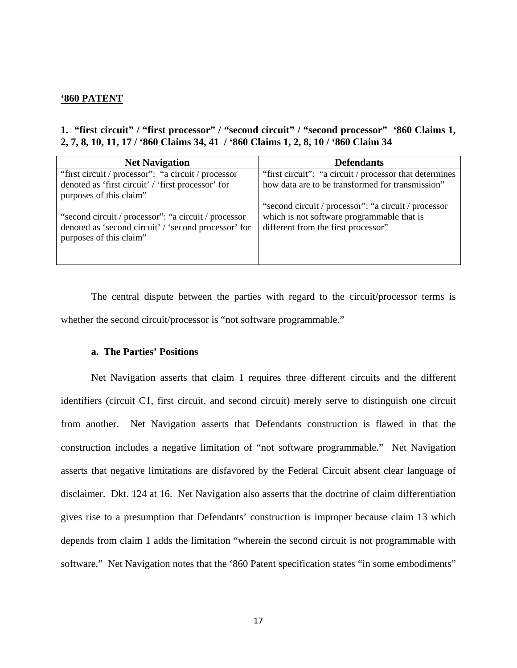# **'860 PATENT**

# **1. "first circuit" / "first processor" / "second circuit" / "second processor" '860 Claims 1, 2, 7, 8, 10, 11, 17 / '860 Claims 34, 41 / '860 Claims 1, 2, 8, 10 / '860 Claim 34**

| <b>Net Navigation</b>                                                                                                                    | <b>Defendants</b>                                                                                                                          |
|------------------------------------------------------------------------------------------------------------------------------------------|--------------------------------------------------------------------------------------------------------------------------------------------|
| "first circuit / processor": "a circuit / processor                                                                                      | "first circuit": "a circuit / processor that determines                                                                                    |
| denoted as 'first circuit' / 'first processor' for                                                                                       | how data are to be transformed for transmission"                                                                                           |
| purposes of this claim"                                                                                                                  |                                                                                                                                            |
| "second circuit / processor": "a circuit / processor"<br>denoted as 'second circuit' / 'second processor' for<br>purposes of this claim" | "second circuit / processor": "a circuit / processor"<br>which is not software programmable that is<br>different from the first processor" |

 The central dispute between the parties with regard to the circuit/processor terms is whether the second circuit/processor is "not software programmable."

# **a. The Parties' Positions**

 Net Navigation asserts that claim 1 requires three different circuits and the different identifiers (circuit C1, first circuit, and second circuit) merely serve to distinguish one circuit from another. Net Navigation asserts that Defendants construction is flawed in that the construction includes a negative limitation of "not software programmable." Net Navigation asserts that negative limitations are disfavored by the Federal Circuit absent clear language of disclaimer. Dkt. 124 at 16. Net Navigation also asserts that the doctrine of claim differentiation gives rise to a presumption that Defendants' construction is improper because claim 13 which depends from claim 1 adds the limitation "wherein the second circuit is not programmable with software." Net Navigation notes that the '860 Patent specification states "in some embodiments"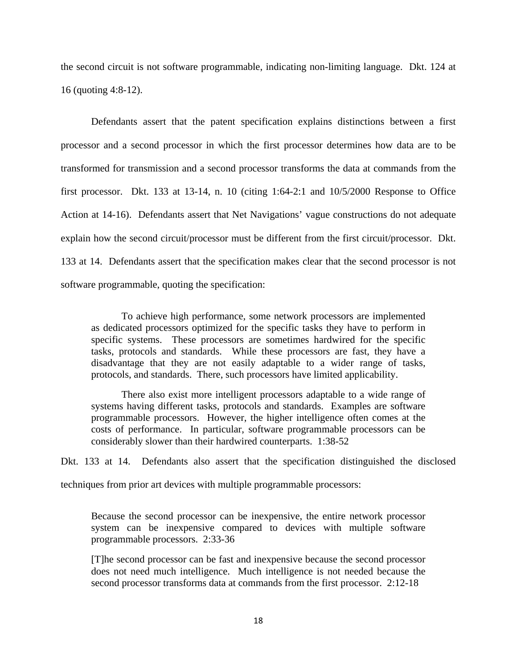the second circuit is not software programmable, indicating non-limiting language. Dkt. 124 at 16 (quoting 4:8-12).

 Defendants assert that the patent specification explains distinctions between a first processor and a second processor in which the first processor determines how data are to be transformed for transmission and a second processor transforms the data at commands from the first processor. Dkt. 133 at 13-14, n. 10 (citing 1:64-2:1 and 10/5/2000 Response to Office Action at 14-16). Defendants assert that Net Navigations' vague constructions do not adequate explain how the second circuit/processor must be different from the first circuit/processor. Dkt. 133 at 14. Defendants assert that the specification makes clear that the second processor is not software programmable, quoting the specification:

To achieve high performance, some network processors are implemented as dedicated processors optimized for the specific tasks they have to perform in specific systems. These processors are sometimes hardwired for the specific tasks, protocols and standards. While these processors are fast, they have a disadvantage that they are not easily adaptable to a wider range of tasks, protocols, and standards. There, such processors have limited applicability.

There also exist more intelligent processors adaptable to a wide range of systems having different tasks, protocols and standards. Examples are software programmable processors. However, the higher intelligence often comes at the costs of performance. In particular, software programmable processors can be considerably slower than their hardwired counterparts. 1:38-52

Dkt. 133 at 14. Defendants also assert that the specification distinguished the disclosed techniques from prior art devices with multiple programmable processors:

Because the second processor can be inexpensive, the entire network processor system can be inexpensive compared to devices with multiple software programmable processors. 2:33-36

[T]he second processor can be fast and inexpensive because the second processor does not need much intelligence. Much intelligence is not needed because the second processor transforms data at commands from the first processor. 2:12-18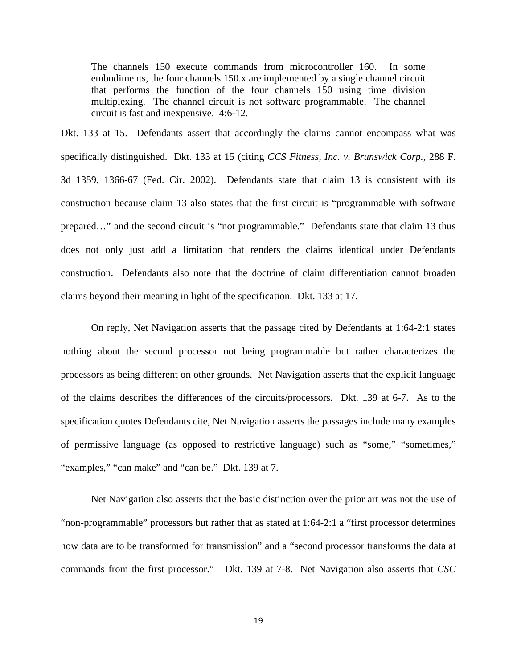The channels 150 execute commands from microcontroller 160. In some embodiments, the four channels 150.x are implemented by a single channel circuit that performs the function of the four channels 150 using time division multiplexing. The channel circuit is not software programmable. The channel circuit is fast and inexpensive. 4:6-12.

Dkt. 133 at 15. Defendants assert that accordingly the claims cannot encompass what was specifically distinguished. Dkt. 133 at 15 (citing *CCS Fitness, Inc. v. Brunswick Corp.,* 288 F. 3d 1359, 1366-67 (Fed. Cir. 2002). Defendants state that claim 13 is consistent with its construction because claim 13 also states that the first circuit is "programmable with software prepared…" and the second circuit is "not programmable." Defendants state that claim 13 thus does not only just add a limitation that renders the claims identical under Defendants construction. Defendants also note that the doctrine of claim differentiation cannot broaden claims beyond their meaning in light of the specification. Dkt. 133 at 17.

 On reply, Net Navigation asserts that the passage cited by Defendants at 1:64-2:1 states nothing about the second processor not being programmable but rather characterizes the processors as being different on other grounds. Net Navigation asserts that the explicit language of the claims describes the differences of the circuits/processors. Dkt. 139 at 6-7. As to the specification quotes Defendants cite, Net Navigation asserts the passages include many examples of permissive language (as opposed to restrictive language) such as "some," "sometimes," "examples," "can make" and "can be." Dkt. 139 at 7.

 Net Navigation also asserts that the basic distinction over the prior art was not the use of "non-programmable" processors but rather that as stated at 1:64-2:1 a "first processor determines how data are to be transformed for transmission" and a "second processor transforms the data at commands from the first processor." Dkt. 139 at 7-8. Net Navigation also asserts that *CSC*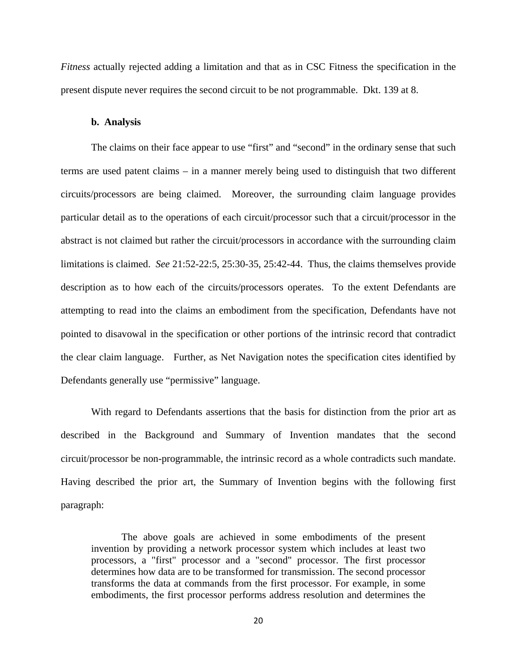*Fitness* actually rejected adding a limitation and that as in CSC Fitness the specification in the present dispute never requires the second circuit to be not programmable. Dkt. 139 at 8.

#### **b. Analysis**

The claims on their face appear to use "first" and "second" in the ordinary sense that such terms are used patent claims – in a manner merely being used to distinguish that two different circuits/processors are being claimed. Moreover, the surrounding claim language provides particular detail as to the operations of each circuit/processor such that a circuit/processor in the abstract is not claimed but rather the circuit/processors in accordance with the surrounding claim limitations is claimed. *See* 21:52-22:5, 25:30-35, 25:42-44. Thus, the claims themselves provide description as to how each of the circuits/processors operates. To the extent Defendants are attempting to read into the claims an embodiment from the specification, Defendants have not pointed to disavowal in the specification or other portions of the intrinsic record that contradict the clear claim language. Further, as Net Navigation notes the specification cites identified by Defendants generally use "permissive" language.

With regard to Defendants assertions that the basis for distinction from the prior art as described in the Background and Summary of Invention mandates that the second circuit/processor be non-programmable, the intrinsic record as a whole contradicts such mandate. Having described the prior art, the Summary of Invention begins with the following first paragraph:

The above goals are achieved in some embodiments of the present invention by providing a network processor system which includes at least two processors, a "first" processor and a "second" processor. The first processor determines how data are to be transformed for transmission. The second processor transforms the data at commands from the first processor. For example, in some embodiments, the first processor performs address resolution and determines the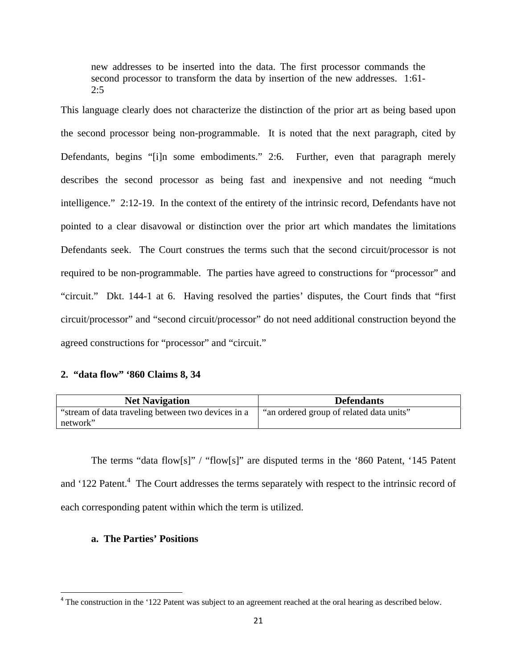new addresses to be inserted into the data. The first processor commands the second processor to transform the data by insertion of the new addresses. 1:61- 2:5

This language clearly does not characterize the distinction of the prior art as being based upon the second processor being non-programmable. It is noted that the next paragraph, cited by Defendants, begins "[i]n some embodiments." 2:6. Further, even that paragraph merely describes the second processor as being fast and inexpensive and not needing "much intelligence." 2:12-19. In the context of the entirety of the intrinsic record, Defendants have not pointed to a clear disavowal or distinction over the prior art which mandates the limitations Defendants seek. The Court construes the terms such that the second circuit/processor is not required to be non-programmable. The parties have agreed to constructions for "processor" and "circuit." Dkt. 144-1 at 6. Having resolved the parties' disputes, the Court finds that "first circuit/processor" and "second circuit/processor" do not need additional construction beyond the agreed constructions for "processor" and "circuit."

# **2. "data flow" '860 Claims 8, 34**

| <b>Net Navigation</b>                              | <b>Defendants</b>                        |
|----------------------------------------------------|------------------------------------------|
| "stream of data traveling between two devices in a | "an ordered group of related data units" |
| network"                                           |                                          |

The terms "data flow[s]" / "flow[s]" are disputed terms in the '860 Patent, '145 Patent and '122 Patent.<sup>4</sup> The Court addresses the terms separately with respect to the intrinsic record of each corresponding patent within which the term is utilized.

# **a. The Parties' Positions**

<sup>&</sup>lt;sup>4</sup> The construction in the '122 Patent was subject to an agreement reached at the oral hearing as described below.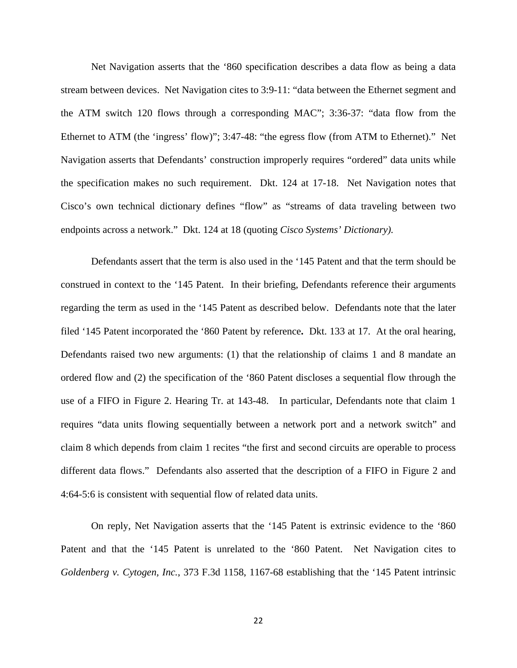Net Navigation asserts that the '860 specification describes a data flow as being a data stream between devices. Net Navigation cites to 3:9-11: "data between the Ethernet segment and the ATM switch 120 flows through a corresponding MAC"; 3:36-37: "data flow from the Ethernet to ATM (the 'ingress' flow)"; 3:47-48: "the egress flow (from ATM to Ethernet)." Net Navigation asserts that Defendants' construction improperly requires "ordered" data units while the specification makes no such requirement. Dkt. 124 at 17-18. Net Navigation notes that Cisco's own technical dictionary defines "flow" as "streams of data traveling between two endpoints across a network." Dkt. 124 at 18 (quoting *Cisco Systems' Dictionary).* 

 Defendants assert that the term is also used in the '145 Patent and that the term should be construed in context to the '145 Patent. In their briefing, Defendants reference their arguments regarding the term as used in the '145 Patent as described below. Defendants note that the later filed '145 Patent incorporated the '860 Patent by reference**.** Dkt. 133 at 17. At the oral hearing, Defendants raised two new arguments: (1) that the relationship of claims 1 and 8 mandate an ordered flow and (2) the specification of the '860 Patent discloses a sequential flow through the use of a FIFO in Figure 2. Hearing Tr. at 143-48. In particular, Defendants note that claim 1 requires "data units flowing sequentially between a network port and a network switch" and claim 8 which depends from claim 1 recites "the first and second circuits are operable to process different data flows." Defendants also asserted that the description of a FIFO in Figure 2 and 4:64-5:6 is consistent with sequential flow of related data units.

On reply, Net Navigation asserts that the '145 Patent is extrinsic evidence to the '860 Patent and that the '145 Patent is unrelated to the '860 Patent. Net Navigation cites to *Goldenberg v. Cytogen, Inc.*, 373 F.3d 1158, 1167-68 establishing that the '145 Patent intrinsic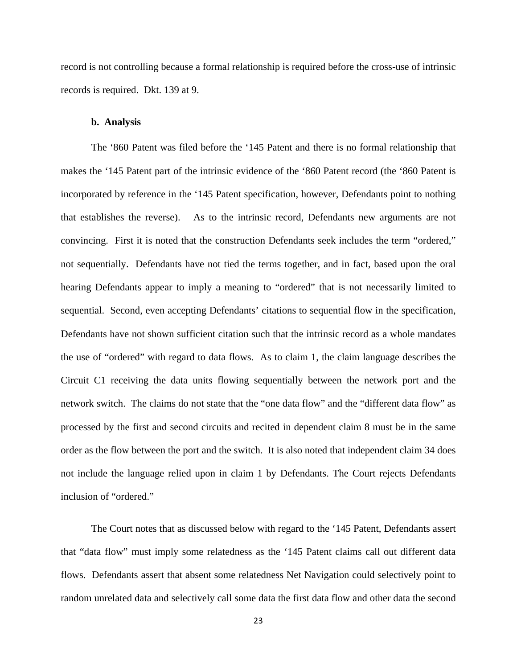record is not controlling because a formal relationship is required before the cross-use of intrinsic records is required. Dkt. 139 at 9.

#### **b. Analysis**

The '860 Patent was filed before the '145 Patent and there is no formal relationship that makes the '145 Patent part of the intrinsic evidence of the '860 Patent record (the '860 Patent is incorporated by reference in the '145 Patent specification, however, Defendants point to nothing that establishes the reverse). As to the intrinsic record, Defendants new arguments are not convincing. First it is noted that the construction Defendants seek includes the term "ordered," not sequentially. Defendants have not tied the terms together, and in fact, based upon the oral hearing Defendants appear to imply a meaning to "ordered" that is not necessarily limited to sequential. Second, even accepting Defendants' citations to sequential flow in the specification, Defendants have not shown sufficient citation such that the intrinsic record as a whole mandates the use of "ordered" with regard to data flows. As to claim 1, the claim language describes the Circuit C1 receiving the data units flowing sequentially between the network port and the network switch. The claims do not state that the "one data flow" and the "different data flow" as processed by the first and second circuits and recited in dependent claim 8 must be in the same order as the flow between the port and the switch. It is also noted that independent claim 34 does not include the language relied upon in claim 1 by Defendants. The Court rejects Defendants inclusion of "ordered."

 The Court notes that as discussed below with regard to the '145 Patent, Defendants assert that "data flow" must imply some relatedness as the '145 Patent claims call out different data flows. Defendants assert that absent some relatedness Net Navigation could selectively point to random unrelated data and selectively call some data the first data flow and other data the second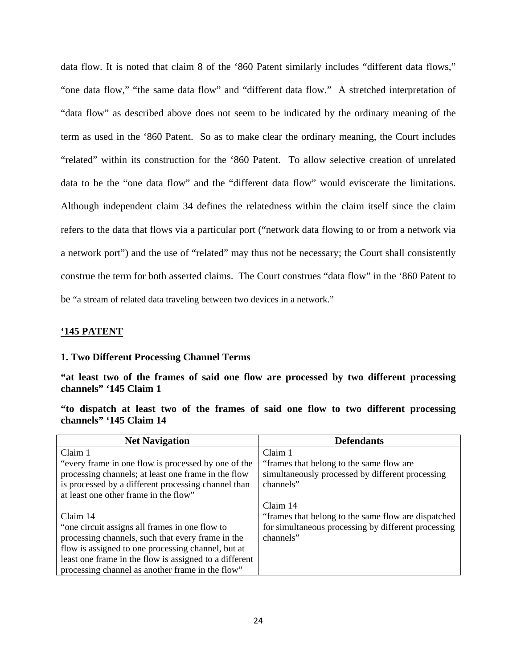data flow. It is noted that claim 8 of the '860 Patent similarly includes "different data flows," "one data flow," "the same data flow" and "different data flow." A stretched interpretation of "data flow" as described above does not seem to be indicated by the ordinary meaning of the term as used in the '860 Patent. So as to make clear the ordinary meaning, the Court includes "related" within its construction for the '860 Patent. To allow selective creation of unrelated data to be the "one data flow" and the "different data flow" would eviscerate the limitations. Although independent claim 34 defines the relatedness within the claim itself since the claim refers to the data that flows via a particular port ("network data flowing to or from a network via a network port") and the use of "related" may thus not be necessary; the Court shall consistently construe the term for both asserted claims. The Court construes "data flow" in the '860 Patent to be "a stream of related data traveling between two devices in a network."

# **'145 PATENT**

# **1. Two Different Processing Channel Terms**

**"at least two of the frames of said one flow are processed by two different processing channels" '145 Claim 1** 

**"to dispatch at least two of the frames of said one flow to two different processing channels" '145 Claim 14** 

| <b>Net Navigation</b>                                  | <b>Defendants</b>                                   |
|--------------------------------------------------------|-----------------------------------------------------|
| Claim 1                                                | Claim 1                                             |
| "every frame in one flow is processed by one of the    | "frames that belong to the same flow are"           |
| processing channels; at least one frame in the flow    | simultaneously processed by different processing    |
| is processed by a different processing channel than    | channels"                                           |
| at least one other frame in the flow"                  |                                                     |
|                                                        | Claim 14                                            |
| Claim 14                                               | "frames that belong to the same flow are dispatched |
| "one circuit assigns all frames in one flow to         | for simultaneous processing by different processing |
| processing channels, such that every frame in the      | channels"                                           |
| flow is assigned to one processing channel, but at     |                                                     |
| least one frame in the flow is assigned to a different |                                                     |
| processing channel as another frame in the flow"       |                                                     |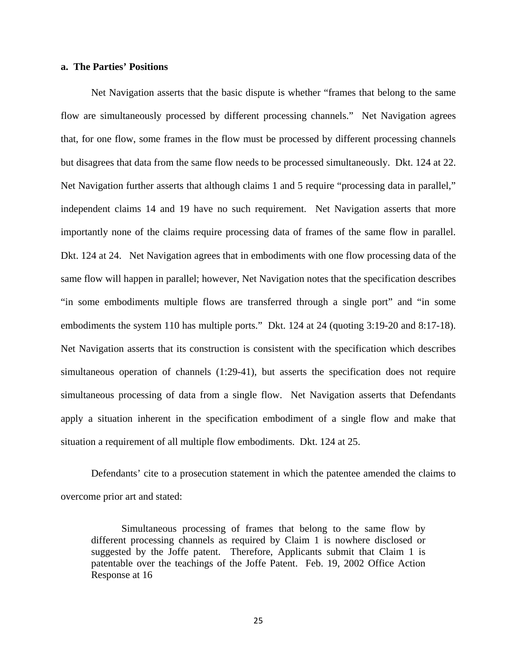# **a. The Parties' Positions**

 Net Navigation asserts that the basic dispute is whether "frames that belong to the same flow are simultaneously processed by different processing channels." Net Navigation agrees that, for one flow, some frames in the flow must be processed by different processing channels but disagrees that data from the same flow needs to be processed simultaneously. Dkt. 124 at 22. Net Navigation further asserts that although claims 1 and 5 require "processing data in parallel," independent claims 14 and 19 have no such requirement. Net Navigation asserts that more importantly none of the claims require processing data of frames of the same flow in parallel. Dkt. 124 at 24. Net Navigation agrees that in embodiments with one flow processing data of the same flow will happen in parallel; however, Net Navigation notes that the specification describes "in some embodiments multiple flows are transferred through a single port" and "in some embodiments the system 110 has multiple ports." Dkt. 124 at 24 (quoting 3:19-20 and 8:17-18). Net Navigation asserts that its construction is consistent with the specification which describes simultaneous operation of channels (1:29-41), but asserts the specification does not require simultaneous processing of data from a single flow. Net Navigation asserts that Defendants apply a situation inherent in the specification embodiment of a single flow and make that situation a requirement of all multiple flow embodiments. Dkt. 124 at 25.

 Defendants' cite to a prosecution statement in which the patentee amended the claims to overcome prior art and stated:

Simultaneous processing of frames that belong to the same flow by different processing channels as required by Claim 1 is nowhere disclosed or suggested by the Joffe patent. Therefore, Applicants submit that Claim 1 is patentable over the teachings of the Joffe Patent. Feb. 19, 2002 Office Action Response at 16

25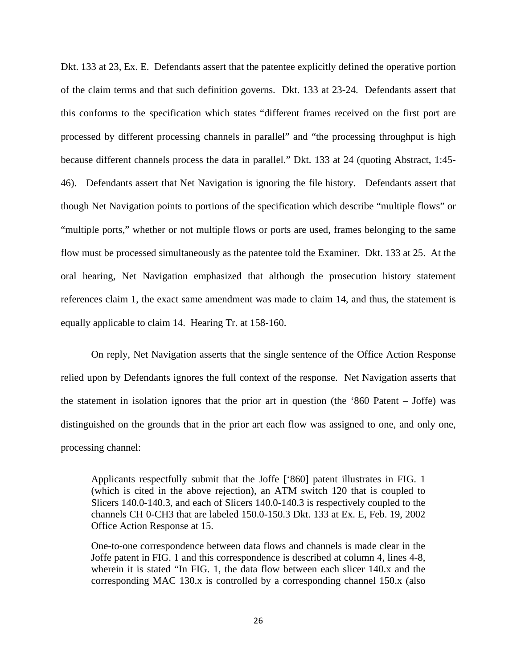Dkt. 133 at 23, Ex. E. Defendants assert that the patentee explicitly defined the operative portion of the claim terms and that such definition governs. Dkt. 133 at 23-24. Defendants assert that this conforms to the specification which states "different frames received on the first port are processed by different processing channels in parallel" and "the processing throughput is high because different channels process the data in parallel." Dkt. 133 at 24 (quoting Abstract, 1:45- 46). Defendants assert that Net Navigation is ignoring the file history. Defendants assert that though Net Navigation points to portions of the specification which describe "multiple flows" or "multiple ports," whether or not multiple flows or ports are used, frames belonging to the same flow must be processed simultaneously as the patentee told the Examiner. Dkt. 133 at 25. At the oral hearing, Net Navigation emphasized that although the prosecution history statement references claim 1, the exact same amendment was made to claim 14, and thus, the statement is equally applicable to claim 14. Hearing Tr. at 158-160.

 On reply, Net Navigation asserts that the single sentence of the Office Action Response relied upon by Defendants ignores the full context of the response. Net Navigation asserts that the statement in isolation ignores that the prior art in question (the '860 Patent – Joffe) was distinguished on the grounds that in the prior art each flow was assigned to one, and only one, processing channel:

Applicants respectfully submit that the Joffe ['860] patent illustrates in FIG. 1 (which is cited in the above rejection), an ATM switch 120 that is coupled to Slicers 140.0-140.3, and each of Slicers 140.0-140.3 is respectively coupled to the channels CH 0-CH3 that are labeled 150.0-150.3 Dkt. 133 at Ex. E, Feb. 19, 2002 Office Action Response at 15.

One-to-one correspondence between data flows and channels is made clear in the Joffe patent in FIG. 1 and this correspondence is described at column 4, lines 4-8, wherein it is stated "In FIG. 1, the data flow between each slicer 140.x and the corresponding MAC 130.x is controlled by a corresponding channel 150.x (also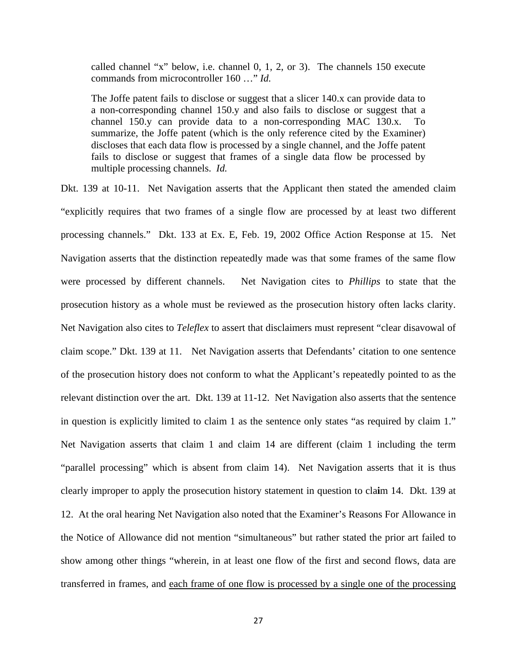called channel "x" below, i.e. channel 0, 1, 2, or 3). The channels 150 execute commands from microcontroller 160 …" *Id.* 

The Joffe patent fails to disclose or suggest that a slicer 140.x can provide data to a non-corresponding channel 150.y and also fails to disclose or suggest that a channel 150.y can provide data to a non-corresponding MAC 130.x. To summarize, the Joffe patent (which is the only reference cited by the Examiner) discloses that each data flow is processed by a single channel, and the Joffe patent fails to disclose or suggest that frames of a single data flow be processed by multiple processing channels. *Id.*

Dkt. 139 at 10-11. Net Navigation asserts that the Applicant then stated the amended claim "explicitly requires that two frames of a single flow are processed by at least two different processing channels." Dkt. 133 at Ex. E, Feb. 19, 2002 Office Action Response at 15.Net Navigation asserts that the distinction repeatedly made was that some frames of the same flow were processed by different channels. Net Navigation cites to *Phillips* to state that the prosecution history as a whole must be reviewed as the prosecution history often lacks clarity. Net Navigation also cites to *Teleflex* to assert that disclaimers must represent "clear disavowal of claim scope." Dkt. 139 at 11. Net Navigation asserts that Defendants' citation to one sentence of the prosecution history does not conform to what the Applicant's repeatedly pointed to as the relevant distinction over the art. Dkt. 139 at 11-12. Net Navigation also asserts that the sentence in question is explicitly limited to claim 1 as the sentence only states "as required by claim 1." Net Navigation asserts that claim 1 and claim 14 are different (claim 1 including the term "parallel processing" which is absent from claim 14). Net Navigation asserts that it is thus clearly improper to apply the prosecution history statement in question to cla**i**m 14. Dkt. 139 at 12. At the oral hearing Net Navigation also noted that the Examiner's Reasons For Allowance in the Notice of Allowance did not mention "simultaneous" but rather stated the prior art failed to show among other things "wherein, in at least one flow of the first and second flows, data are transferred in frames, and each frame of one flow is processed by a single one of the processing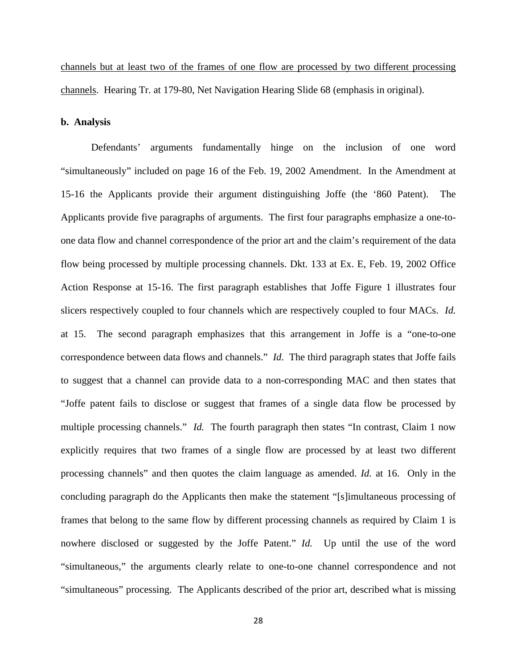channels but at least two of the frames of one flow are processed by two different processing channels. Hearing Tr. at 179-80, Net Navigation Hearing Slide 68 (emphasis in original).

### **b. Analysis**

 Defendants' arguments fundamentally hinge on the inclusion of one word "simultaneously" included on page 16 of the Feb. 19, 2002 Amendment. In the Amendment at 15-16 the Applicants provide their argument distinguishing Joffe (the '860 Patent). The Applicants provide five paragraphs of arguments. The first four paragraphs emphasize a one-toone data flow and channel correspondence of the prior art and the claim's requirement of the data flow being processed by multiple processing channels. Dkt. 133 at Ex. E, Feb. 19, 2002 Office Action Response at 15-16. The first paragraph establishes that Joffe Figure 1 illustrates four slicers respectively coupled to four channels which are respectively coupled to four MACs. *Id.* at 15. The second paragraph emphasizes that this arrangement in Joffe is a "one-to-one correspondence between data flows and channels." *Id*. The third paragraph states that Joffe fails to suggest that a channel can provide data to a non-corresponding MAC and then states that "Joffe patent fails to disclose or suggest that frames of a single data flow be processed by multiple processing channels." *Id.* The fourth paragraph then states "In contrast, Claim 1 now explicitly requires that two frames of a single flow are processed by at least two different processing channels" and then quotes the claim language as amended. *Id.* at 16. Only in the concluding paragraph do the Applicants then make the statement "[s]imultaneous processing of frames that belong to the same flow by different processing channels as required by Claim 1 is nowhere disclosed or suggested by the Joffe Patent." *Id.* Up until the use of the word "simultaneous," the arguments clearly relate to one-to-one channel correspondence and not "simultaneous" processing. The Applicants described of the prior art, described what is missing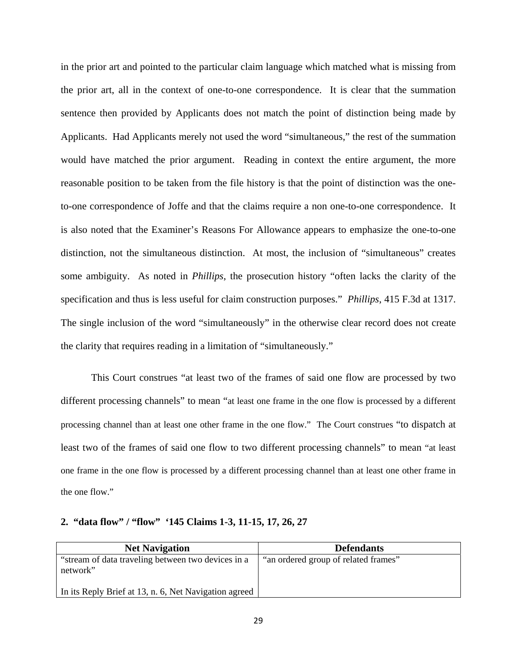in the prior art and pointed to the particular claim language which matched what is missing from the prior art, all in the context of one-to-one correspondence. It is clear that the summation sentence then provided by Applicants does not match the point of distinction being made by Applicants. Had Applicants merely not used the word "simultaneous," the rest of the summation would have matched the prior argument. Reading in context the entire argument, the more reasonable position to be taken from the file history is that the point of distinction was the oneto-one correspondence of Joffe and that the claims require a non one-to-one correspondence. It is also noted that the Examiner's Reasons For Allowance appears to emphasize the one-to-one distinction, not the simultaneous distinction. At most, the inclusion of "simultaneous" creates some ambiguity. As noted in *Phillips*, the prosecution history "often lacks the clarity of the specification and thus is less useful for claim construction purposes." *Phillips*, 415 F.3d at 1317. The single inclusion of the word "simultaneously" in the otherwise clear record does not create the clarity that requires reading in a limitation of "simultaneously."

 This Court construes "at least two of the frames of said one flow are processed by two different processing channels" to mean "at least one frame in the one flow is processed by a different processing channel than at least one other frame in the one flow." The Court construes "to dispatch at least two of the frames of said one flow to two different processing channels" to mean "at least one frame in the one flow is processed by a different processing channel than at least one other frame in the one flow."

# **2. "data flow" / "flow" '145 Claims 1-3, 11-15, 17, 26, 27**

| <b>Net Navigation</b>                                          | <b>Defendants</b>                    |
|----------------------------------------------------------------|--------------------------------------|
| "stream of data traveling between two devices in a<br>network" | "an ordered group of related frames" |
| In its Reply Brief at 13, n. 6, Net Navigation agreed          |                                      |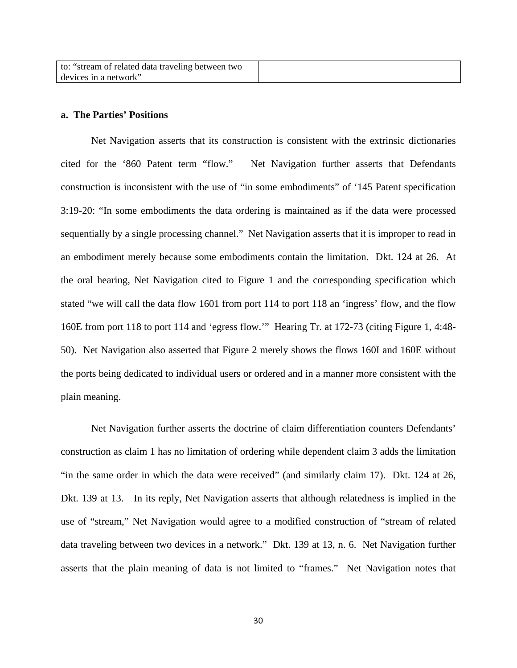| to: "stream of related data traveling between two |  |
|---------------------------------------------------|--|
| devices in a network"                             |  |

# **a. The Parties' Positions**

 Net Navigation asserts that its construction is consistent with the extrinsic dictionaries cited for the '860 Patent term "flow." Net Navigation further asserts that Defendants construction is inconsistent with the use of "in some embodiments" of '145 Patent specification 3:19-20: "In some embodiments the data ordering is maintained as if the data were processed sequentially by a single processing channel." Net Navigation asserts that it is improper to read in an embodiment merely because some embodiments contain the limitation. Dkt. 124 at 26. At the oral hearing, Net Navigation cited to Figure 1 and the corresponding specification which stated "we will call the data flow 1601 from port 114 to port 118 an 'ingress' flow, and the flow 160E from port 118 to port 114 and 'egress flow.'" Hearing Tr. at 172-73 (citing Figure 1, 4:48- 50). Net Navigation also asserted that Figure 2 merely shows the flows 160I and 160E without the ports being dedicated to individual users or ordered and in a manner more consistent with the plain meaning.

Net Navigation further asserts the doctrine of claim differentiation counters Defendants' construction as claim 1 has no limitation of ordering while dependent claim 3 adds the limitation "in the same order in which the data were received" (and similarly claim 17). Dkt. 124 at 26, Dkt. 139 at 13. In its reply, Net Navigation asserts that although relatedness is implied in the use of "stream," Net Navigation would agree to a modified construction of "stream of related data traveling between two devices in a network." Dkt. 139 at 13, n. 6. Net Navigation further asserts that the plain meaning of data is not limited to "frames." Net Navigation notes that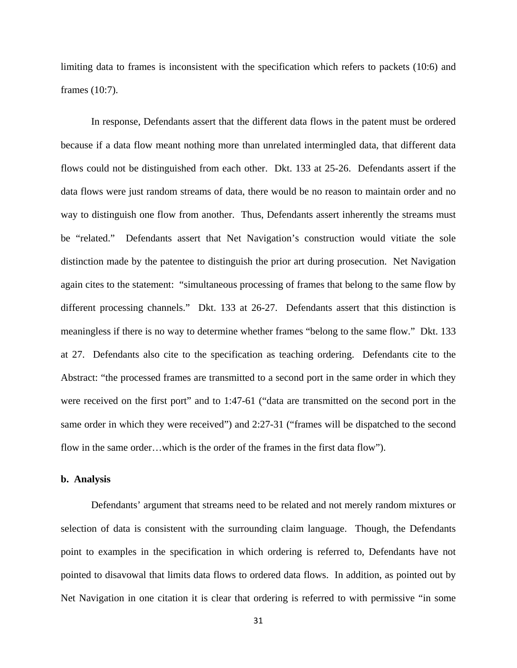limiting data to frames is inconsistent with the specification which refers to packets (10:6) and frames (10:7).

 In response, Defendants assert that the different data flows in the patent must be ordered because if a data flow meant nothing more than unrelated intermingled data, that different data flows could not be distinguished from each other. Dkt. 133 at 25-26. Defendants assert if the data flows were just random streams of data, there would be no reason to maintain order and no way to distinguish one flow from another. Thus, Defendants assert inherently the streams must be "related." Defendants assert that Net Navigation's construction would vitiate the sole distinction made by the patentee to distinguish the prior art during prosecution. Net Navigation again cites to the statement: "simultaneous processing of frames that belong to the same flow by different processing channels." Dkt. 133 at 26-27. Defendants assert that this distinction is meaningless if there is no way to determine whether frames "belong to the same flow." Dkt. 133 at 27. Defendants also cite to the specification as teaching ordering. Defendants cite to the Abstract: "the processed frames are transmitted to a second port in the same order in which they were received on the first port" and to 1:47-61 ("data are transmitted on the second port in the same order in which they were received") and 2:27-31 ("frames will be dispatched to the second flow in the same order…which is the order of the frames in the first data flow").

### **b. Analysis**

 Defendants' argument that streams need to be related and not merely random mixtures or selection of data is consistent with the surrounding claim language. Though, the Defendants point to examples in the specification in which ordering is referred to, Defendants have not pointed to disavowal that limits data flows to ordered data flows. In addition, as pointed out by Net Navigation in one citation it is clear that ordering is referred to with permissive "in some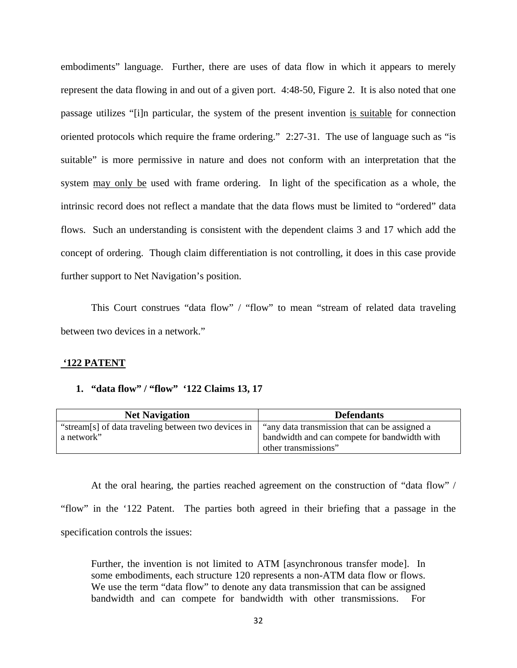embodiments" language. Further, there are uses of data flow in which it appears to merely represent the data flowing in and out of a given port. 4:48-50, Figure 2. It is also noted that one passage utilizes "[i]n particular, the system of the present invention is suitable for connection oriented protocols which require the frame ordering." 2:27-31. The use of language such as "is suitable" is more permissive in nature and does not conform with an interpretation that the system may only be used with frame ordering. In light of the specification as a whole, the intrinsic record does not reflect a mandate that the data flows must be limited to "ordered" data flows. Such an understanding is consistent with the dependent claims 3 and 17 which add the concept of ordering. Though claim differentiation is not controlling, it does in this case provide further support to Net Navigation's position.

 This Court construes "data flow" / "flow" to mean "stream of related data traveling between two devices in a network."

# **'122 PATENT**

#### **1. "data flow" / "flow" '122 Claims 13, 17**

| <b>Net Navigation</b>                                             | <b>Defendants</b>                                                                             |
|-------------------------------------------------------------------|-----------------------------------------------------------------------------------------------|
| "stream[s] of data traveling between two devices in<br>a network" | "any data transmission that can be assigned a<br>bandwidth and can compete for bandwidth with |
|                                                                   | other transmissions"                                                                          |

 At the oral hearing, the parties reached agreement on the construction of "data flow" / "flow" in the '122 Patent. The parties both agreed in their briefing that a passage in the specification controls the issues:

Further, the invention is not limited to ATM [asynchronous transfer mode]. In some embodiments, each structure 120 represents a non-ATM data flow or flows. We use the term "data flow" to denote any data transmission that can be assigned bandwidth and can compete for bandwidth with other transmissions. For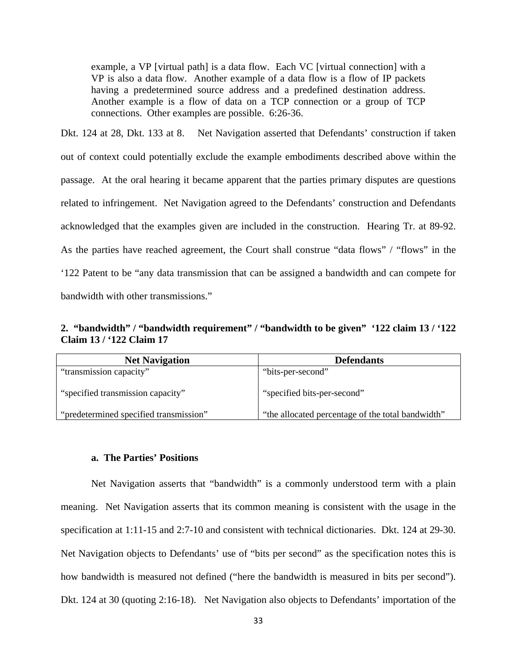example, a VP [virtual path] is a data flow. Each VC [virtual connection] with a VP is also a data flow. Another example of a data flow is a flow of IP packets having a predetermined source address and a predefined destination address. Another example is a flow of data on a TCP connection or a group of TCP connections. Other examples are possible. 6:26-36.

Dkt. 124 at 28, Dkt. 133 at 8. Net Navigation asserted that Defendants' construction if taken out of context could potentially exclude the example embodiments described above within the passage. At the oral hearing it became apparent that the parties primary disputes are questions related to infringement. Net Navigation agreed to the Defendants' construction and Defendants acknowledged that the examples given are included in the construction. Hearing Tr. at 89-92. As the parties have reached agreement, the Court shall construe "data flows" / "flows" in the '122 Patent to be "any data transmission that can be assigned a bandwidth and can compete for bandwidth with other transmissions."

**2. "bandwidth" / "bandwidth requirement" / "bandwidth to be given" '122 claim 13 / '122 Claim 13 / '122 Claim 17** 

| <b>Net Navigation</b>                  | <b>Defendants</b>                                 |
|----------------------------------------|---------------------------------------------------|
| "transmission capacity"                | "bits-per-second"                                 |
| "specified transmission capacity"      | "specified bits-per-second"                       |
| "predetermined specified transmission" | "the allocated percentage of the total bandwidth" |

#### **a. The Parties' Positions**

 Net Navigation asserts that "bandwidth" is a commonly understood term with a plain meaning. Net Navigation asserts that its common meaning is consistent with the usage in the specification at 1:11-15 and 2:7-10 and consistent with technical dictionaries. Dkt. 124 at 29-30. Net Navigation objects to Defendants' use of "bits per second" as the specification notes this is how bandwidth is measured not defined ("here the bandwidth is measured in bits per second"). Dkt. 124 at 30 (quoting 2:16-18). Net Navigation also objects to Defendants' importation of the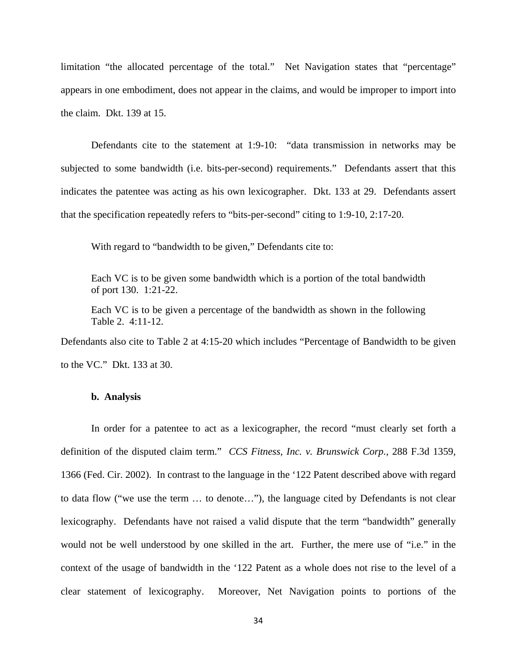limitation "the allocated percentage of the total." Net Navigation states that "percentage" appears in one embodiment, does not appear in the claims, and would be improper to import into the claim. Dkt. 139 at 15.

 Defendants cite to the statement at 1:9-10: "data transmission in networks may be subjected to some bandwidth (i.e. bits-per-second) requirements." Defendants assert that this indicates the patentee was acting as his own lexicographer. Dkt. 133 at 29. Defendants assert that the specification repeatedly refers to "bits-per-second" citing to 1:9-10, 2:17-20.

With regard to "bandwidth to be given," Defendants cite to:

Each VC is to be given some bandwidth which is a portion of the total bandwidth of port 130. 1:21-22.

Each VC is to be given a percentage of the bandwidth as shown in the following Table 2. 4:11-12.

Defendants also cite to Table 2 at 4:15-20 which includes "Percentage of Bandwidth to be given to the VC." Dkt. 133 at 30.

# **b. Analysis**

 In order for a patentee to act as a lexicographer, the record "must clearly set forth a definition of the disputed claim term." *CCS Fitness, Inc. v. Brunswick Corp.*, 288 F.3d 1359, 1366 (Fed. Cir. 2002). In contrast to the language in the '122 Patent described above with regard to data flow ("we use the term … to denote…"), the language cited by Defendants is not clear lexicography. Defendants have not raised a valid dispute that the term "bandwidth" generally would not be well understood by one skilled in the art. Further, the mere use of "i.e." in the context of the usage of bandwidth in the '122 Patent as a whole does not rise to the level of a clear statement of lexicography. Moreover, Net Navigation points to portions of the